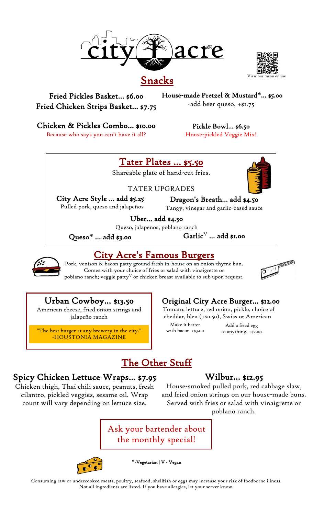

### Snacks

nu online

Fried Pickles Basket… \$6.00 Fried Chicken Strips Basket… \$7.75 <sup>v</sup>House-made Pretzel & Mustard**\***… \$5.00 -add beer queso, +\$1.75

Chicken & Pickles Combo… \$10.00

Because who says you can't have it all?

Pickle Bowl… \$6.50

House-pickled Veggie Mix!

# Tater Plates … \$5.50

Shareable plate of hand-cut fries.

### TATER UPGRADES

City Acre Style … add \$5.25 Pulled pork, queso and jalapeños

Dragon's Breath… add \$4.50 Tangy, vinegar and garlic-based sauce

Uber… add \$4.50

 $\operatorname{\mathsf{Garlic}}^{\scriptscriptstyle\mathrm{V}}$  ... add \$1.00 Queso, jalapenos, poblano ranch v

Queso**\*** … add \$3.00  $\overline{a}$ 

#### City Acre's Famous Burgers v  $\overline{a}$  $\mathbf{r}$

Pork, venison & bacon patty ground fresh in-house on an onion-thyme bun. nison & bacon patty ground tresh in-house on an onion-thyr.<br>Comes with your choice of fries or salad with vinaigrette or poblano ranch; veggie patty<sup>v</sup> or chicken breast available to sub upon request.



## Urban Cowboy… \$13.50

American cheese, fried onion strings and jalapeño ranch

"The best burger at any brewery in the city." -HOUSTONIA MAGAZINE

# <sup>V</sup> Original City Acre Burger… \$12.00

Tomato, lettuce, red onion, pickle, choice of cheddar, bleu (+\$0.50), Swiss or American <sup>v</sup>

Make it better with bacon +\$3.00

Add a fried egg <sup>V</sup> Original City Acre Burger… \$11.00 to anything, +\$2.00 Tomato, lettuce, red onion, pickle, choice of

# The Other Stuff

# g Spicy Chicken Lettuce Wraps… \$7.95

Chicken thigh, Thai chili sauce, peanuts, fresh cilantro, pickled veggies, sesame oil. Wrap count will vary depending on lettuce size.

# Wilbur… \$12.95

House-smoked pulled pork, red cabbage slaw, and fried onion strings on our house-made buns. Served with fries or salad with vinaigrette or poblano ranch.

Ask your bartender about the monthly special!

g



**\***-Vegetarian | V - Vegan

Consuming raw or undercooked meats, poultry, seafood, shellfish or eggs may increase your risk of foodborne illness. Not all ingredients are listed. If you have allergies, let your server know.